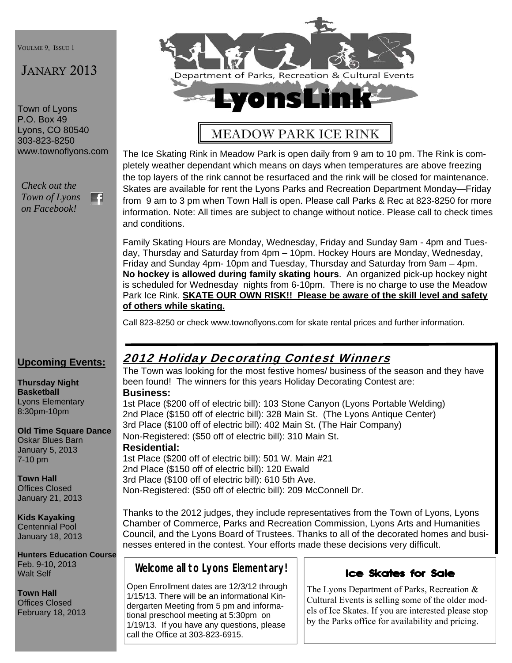VOULME 9, ISSUE 1

## JANARY 2013

Town of Lyons P.O. Box 49 Lyons, CO 80540 303-823-8250 www.townoflyons.com

*Check out the Town of Lyons*  F. *on Facebook!* 



# MEADOW PARK ICE RINK

The Ice Skating Rink in Meadow Park is open daily from 9 am to 10 pm. The Rink is completely weather dependant which means on days when temperatures are above freezing the top layers of the rink cannot be resurfaced and the rink will be closed for maintenance. Skates are available for rent the Lyons Parks and Recreation Department Monday—Friday from 9 am to 3 pm when Town Hall is open. Please call Parks & Rec at 823-8250 for more information. Note: All times are subject to change without notice. Please call to check times and conditions.

Family Skating Hours are Monday, Wednesday, Friday and Sunday 9am - 4pm and Tuesday, Thursday and Saturday from 4pm – 10pm. Hockey Hours are Monday, Wednesday, Friday and Sunday 4pm- 10pm and Tuesday, Thursday and Saturday from 9am – 4pm. **No hockey is allowed during family skating hours**. An organized pick-up hockey night is scheduled for Wednesday nights from 6-10pm. There is no charge to use the Meadow Park Ice Rink. **SKATE OUR OWN RISK!! Please be aware of the skill level and safety of others while skating.** 

Call 823-8250 or check www.townoflyons.com for skate rental prices and further information.

#### **Upcoming Events:**

**Thursday Night Basketball**  Lyons Elementary 8:30pm-10pm

**Old Time Square Dance**  Oskar Blues Barn January 5, 2013 7-10 pm

**Town Hall**  Offices Closed January 21, 2013

## **Kids Kayaking**

Centennial Pool January 18, 2013

**Hunters Education Course**  Feb. 9-10, 2013 Walt Self

**Town Hall**  Offices Closed February 18, 2013

## 2012 Holiday Decorating Contest Winners

The Town was looking for the most festive homes/ business of the season and they have been found! The winners for this years Holiday Decorating Contest are: **Business:** 

1st Place (\$200 off of electric bill): 103 Stone Canyon (Lyons Portable Welding) 2nd Place (\$150 off of electric bill): 328 Main St. (The Lyons Antique Center) 3rd Place (\$100 off of electric bill): 402 Main St. (The Hair Company) Non-Registered: (\$50 off of electric bill): 310 Main St.

#### **Residential:**

1st Place (\$200 off of electric bill): 501 W. Main #21 2nd Place (\$150 off of electric bill): 120 Ewald 3rd Place (\$100 off of electric bill): 610 5th Ave. Non-Registered: (\$50 off of electric bill): 209 McConnell Dr.

Thanks to the 2012 judges, they include representatives from the Town of Lyons, Lyons Chamber of Commerce, Parks and Recreation Commission, Lyons Arts and Humanities Council, and the Lyons Board of Trustees. Thanks to all of the decorated homes and businesses entered in the contest. Your efforts made these decisions very difficult.

**Welcome all to Lyons Elementary!** 

Open Enrollment dates are 12/3/12 through 1/15/13. There will be an informational Kindergarten Meeting from 5 pm and informational preschool meeting at 5:30pm on 1/19/13. If you have any questions, please call the Office at 303-823-6915.



The Lyons Department of Parks, Recreation & Cultural Events is selling some of the older models of Ice Skates. If you are interested please stop by the Parks office for availability and pricing.